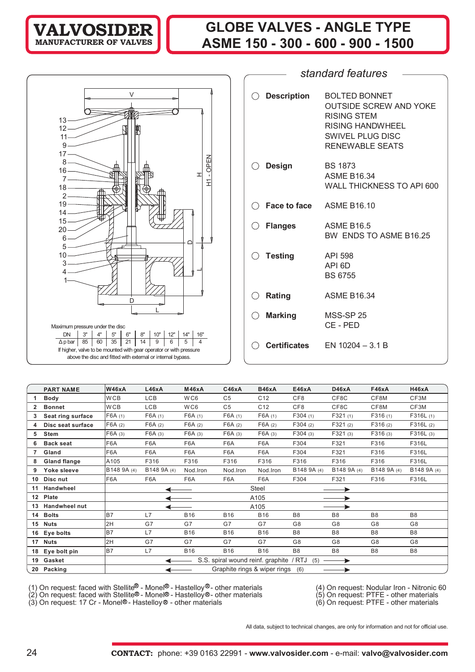## **VALVOSIDER MANUFACTURER OF VALVES**

# **GLOBE VALVES - ANGLE TYPE ASME 150 - 300 - 600 - 900 - 1500**



| $\bigcirc$ Description     | <b>BOLTED BONNET</b><br><b>OUTSIDE SCREW AND YOKE</b><br>RISING STEM<br><b>RISING HANDWHEEL</b><br><b>SWIVEL PLUG DISC</b><br>RENEWABLE SEATS |
|----------------------------|-----------------------------------------------------------------------------------------------------------------------------------------------|
| ○ Design                   | BS 1873<br><b>ASME B16.34</b><br><b>WALL THICKNESS TO API 600</b>                                                                             |
| C Face to face ASME B16.10 |                                                                                                                                               |
| $\bigcirc$ Flanges         | <b>ASME B16.5</b><br>BW ENDS TO ASME B16.25                                                                                                   |
| $\bigcirc$ Testing         | API 598<br>API <sub>6D</sub><br><b>BS 6755</b>                                                                                                |
| $\bigcirc$ Rating          | <b>ASME B16.34</b>                                                                                                                            |
| $\bigcirc$ Marking         | <b>MSS-SP 25</b><br>CE-PED                                                                                                                    |
|                            | <b>Certificates</b> $EN 10204 - 3.1 B$                                                                                                        |

*standard features*

|    | <b>PART NAME</b>     | <b>W46xA</b>    | L46xA       | <b>M46xA</b> | C46xA          | <b>B46xA</b>                            | E46xA           | D46xA             | F46xA          | H46xA          |
|----|----------------------|-----------------|-------------|--------------|----------------|-----------------------------------------|-----------------|-------------------|----------------|----------------|
|    | <b>Body</b>          | W <sub>CB</sub> | <b>LCB</b>  | WC6          | C <sub>5</sub> | C <sub>12</sub>                         | CF <sub>8</sub> | CF8C              | CF8M           | CF3M           |
|    | <b>Bonnet</b>        | W <sub>CB</sub> | <b>LCB</b>  | WC6          | C <sub>5</sub> | C <sub>12</sub>                         | CF8             | CF8C              | CF8M           | CF3M           |
| 3  | Seat ring surface    | F6A(1)          | F6A(1)      | F6A(1)       | F6A(1)         | F6A(1)                                  | F304(1)         | F321(1)           | F316(1)        | F316L(1)       |
|    | Disc seat surface    | F6A(2)          | F6A(2)      | F6A(2)       | F6A(2)         | F6A(2)                                  | F304(2)         | F321(2)           | F316(2)        | F316L(2)       |
| 5  | Stem                 | F6A(3)          | F6A (3)     | F6A(3)       | F6A (3)        | F6A(3)                                  | F304(3)         | F321(3)           | F316(3)        | F316L(3)       |
| 6  | <b>Back seat</b>     | F6A             | F6A         | F6A          | F6A            | F6A                                     | F304            | F321              | F316           | F316L          |
|    | Gland                | F6A             | F6A         | F6A          | F6A            | F6A                                     | F304            | F321              | F316           | F316L          |
| 8  | <b>Gland flange</b>  | A105            | F316        | F316         | F316           | F316                                    | F316            | F316              | F316           | F316L          |
| 9  | Yoke sleeve          | B148 9A (4)     | B148 9A (4) | Nod.Iron     | Nod.Iron       | Nod.Iron                                | B148 9A (4)     | B148 9A (4)       | B148 9A (4)    | B148 9A (4)    |
|    | 10 Disc nut          | F6A             | F6A         | F6A          | F6A            | F6A                                     | F304            | F321              | F316           | F316L          |
| 11 | <b>Handwheel</b>     |                 |             |              |                | Steel                                   |                 |                   |                |                |
|    | 12 Plate             |                 |             |              |                | A105                                    |                 |                   |                |                |
| 13 | <b>Handwheel nut</b> |                 |             |              |                | A105                                    |                 |                   |                |                |
| 14 | <b>Bolts</b>         | B7              | L7          | <b>B16</b>   | <b>B16</b>     | <b>B16</b>                              | B <sub>8</sub>  | B <sub>8</sub>    | B <sub>8</sub> | B <sub>8</sub> |
|    | 15 Nuts              | 2H              | G7          | G7           | G7             | G7                                      | G8              | G8                | G8             | G8             |
| 16 | Eye bolts            | <b>B7</b>       | L7          | <b>B16</b>   | <b>B16</b>     | <b>B16</b>                              | B <sub>8</sub>  | B <sub>8</sub>    | B <sub>8</sub> | B <sub>8</sub> |
| 17 | <b>Nuts</b>          | 2H              | G7          | G7           | G7             | G7                                      | G <sub>8</sub>  | G8                | G <sub>8</sub> | G8             |
| 18 | Eye bolt pin         | B7              | L7          | <b>B16</b>   | <b>B16</b>     | <b>B16</b>                              | B <sub>8</sub>  | B <sub>8</sub>    | B <sub>8</sub> | B <sub>8</sub> |
|    | 19 Gasket            |                 |             |              |                | S.S. spiral wound reinf. graphite / RTJ | (5)             | $\longrightarrow$ |                |                |
|    | 20 Packing           |                 |             |              |                | Graphite rings & wiper rings            | (6)             |                   |                |                |

(1) On request: faced with Stellite - Monel - Hastelloy - other materials (4) On request: Nodular Iron - Nitronic 60

(2) On request: faced with Stellite® - Monel® - Hastelloy®- other materials (5) On request: PTFE - other materials

(3) On request: 17 Cr - Monel®- Hastelloy® - other materials (6) On request: PTFE - other materials

All data, subject to technical changes, are only for information and not for official use.